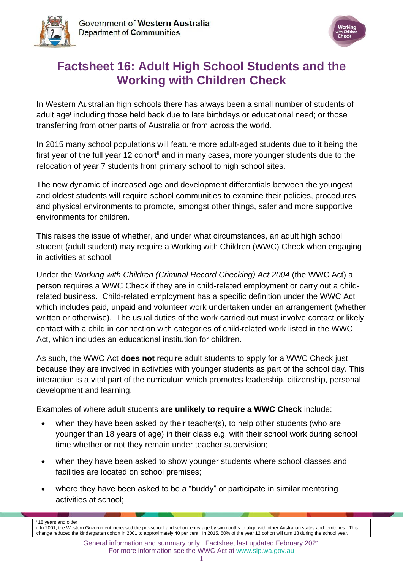



# **Factsheet 16: Adult High School Students and the Working with Children Check**

In Western Australian high schools there has always been a small number of students of adult age<sup>i</sup> including those held back due to late birthdays or educational need; or those transferring from other parts of Australia or from across the world.

In 2015 many school populations will feature more adult-aged students due to it being the first year of the full year 12 cohort<sup>ii</sup> and in many cases, more younger students due to the relocation of year 7 students from primary school to high school sites.

The new dynamic of increased age and development differentials between the youngest and oldest students will require school communities to examine their policies, procedures and physical environments to promote, amongst other things, safer and more supportive environments for children.

This raises the issue of whether, and under what circumstances, an adult high school student (adult student) may require a Working with Children (WWC) Check when engaging in activities at school.

Under the *Working with Children (Criminal Record Checking) Act 2004* (the WWC Act) a person requires a WWC Check if they are in child-related employment or carry out a childrelated business. Child-related employment has a specific definition under the WWC Act which includes paid, unpaid and volunteer work undertaken under an arrangement (whether written or otherwise). The usual duties of the work carried out must involve contact or likely contact with a child in connection with categories of child-related work listed in the WWC Act, which includes an educational institution for children.

As such, the WWC Act **does not** require adult students to apply for a WWC Check just because they are involved in activities with younger students as part of the school day. This interaction is a vital part of the curriculum which promotes leadership, citizenship, personal development and learning.

Examples of where adult students **are unlikely to require a WWC Check** include:

- when they have been asked by their teacher(s), to help other students (who are younger than 18 years of age) in their class e.g. with their school work during school time whether or not they remain under teacher supervision;
- when they have been asked to show younger students where school classes and facilities are located on school premises;
- where they have been asked to be a "buddy" or participate in similar mentoring activities at school;

 $i$ 18 years and olde ii In 2001, the Western Government increased the pre-school and school entry age by six months to align with other Australian states and territories. This change reduced the kindergarten cohort in 2001 to approximately 40 per cent. In 2015, 50% of the year 12 cohort will turn 18 during the school year.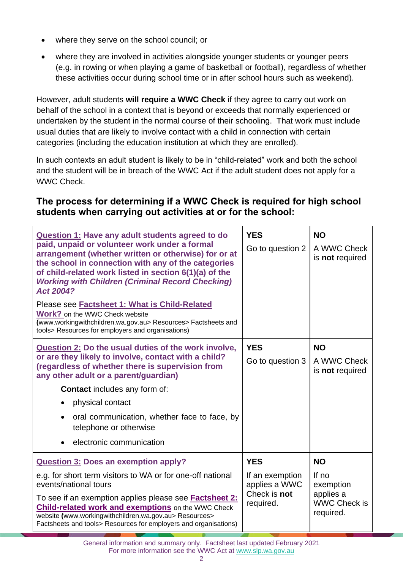- where they serve on the school council; or
- where they are involved in activities alongside younger students or younger peers (e.g. in rowing or when playing a game of basketball or football), regardless of whether these activities occur during school time or in after school hours such as weekend).

However, adult students **will require a WWC Check** if they agree to carry out work on behalf of the school in a context that is beyond or exceeds that normally experienced or undertaken by the student in the normal course of their schooling. That work must include usual duties that are likely to involve contact with a child in connection with certain categories (including the education institution at which they are enrolled).

In such contexts an adult student is likely to be in "child-related" work and both the school and the student will be in breach of the WWC Act if the adult student does not apply for a WWC Check.

### **The process for determining if a WWC Check is required for high school students when carrying out activities at or for the school:**

| <b>Question 1: Have any adult students agreed to do</b><br>paid, unpaid or volunteer work under a formal<br>arrangement (whether written or otherwise) for or at<br>the school in connection with any of the categories<br>of child-related work listed in section 6(1)(a) of the<br><b>Working with Children (Criminal Record Checking)</b><br>Act 2004?<br>Please see <b>Factsheet 1: What is Child-Related</b> | <b>YES</b><br>Go to question 2                                              | <b>NO</b><br>A WWC Check<br>is not required                                        |
|-------------------------------------------------------------------------------------------------------------------------------------------------------------------------------------------------------------------------------------------------------------------------------------------------------------------------------------------------------------------------------------------------------------------|-----------------------------------------------------------------------------|------------------------------------------------------------------------------------|
| <b>Work?</b> on the WWC Check website<br>(www.workingwithchildren.wa.gov.au> Resources> Factsheets and<br>tools> Resources for employers and organisations)                                                                                                                                                                                                                                                       |                                                                             |                                                                                    |
| Question 2: Do the usual duties of the work involve,<br>or are they likely to involve, contact with a child?<br>(regardless of whether there is supervision from<br>any other adult or a parent/guardian)<br><b>Contact</b> includes any form of:<br>physical contact<br>oral communication, whether face to face, by<br>$\bullet$<br>telephone or otherwise<br>electronic communication                          | <b>YES</b><br>Go to question 3                                              | <b>NO</b><br>A WWC Check<br>is not required                                        |
| <b>Question 3: Does an exemption apply?</b><br>e.g. for short term visitors to WA or for one-off national<br>events/national tours<br>To see if an exemption applies please see <b>Factsheet 2:</b><br><b>Child-related work and exemptions on the WWC Check</b><br>website (www.workingwithchildren.wa.gov.au> Resources><br>Factsheets and tools> Resources for employers and organisations)                    | <b>YES</b><br>If an exemption<br>applies a WWC<br>Check is not<br>required. | <b>NO</b><br>If $no$<br>exemption<br>applies a<br><b>WWC Check is</b><br>required. |

General information and summary only. Factsheet last updated February 2021 For more information see the WWC Act at [www.slp.wa.gov.au](http://www.slp.wa.gov.au/legislation/statutes.nsf/main_mrtitle_1095_homepage.html)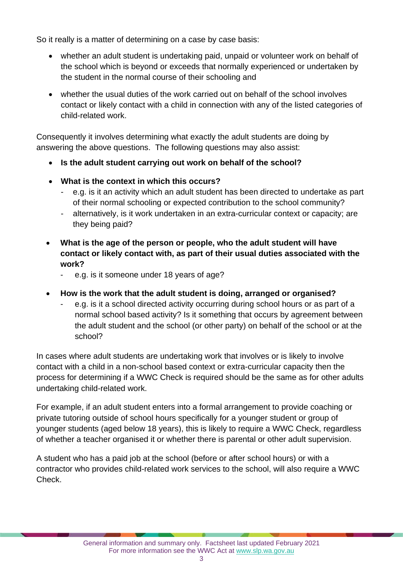So it really is a matter of determining on a case by case basis:

- whether an adult student is undertaking paid, unpaid or volunteer work on behalf of the school which is beyond or exceeds that normally experienced or undertaken by the student in the normal course of their schooling and
- whether the usual duties of the work carried out on behalf of the school involves contact or likely contact with a child in connection with any of the listed categories of child-related work.

Consequently it involves determining what exactly the adult students are doing by answering the above questions. The following questions may also assist:

- **Is the adult student carrying out work on behalf of the school?**
- **What is the context in which this occurs?**
	- e.g. is it an activity which an adult student has been directed to undertake as part of their normal schooling or expected contribution to the school community?
	- alternatively, is it work undertaken in an extra-curricular context or capacity; are they being paid?
- **What is the age of the person or people, who the adult student will have contact or likely contact with, as part of their usual duties associated with the work?**
	- e.g. is it someone under 18 years of age?
- **How is the work that the adult student is doing, arranged or organised?**
	- e.g. is it a school directed activity occurring during school hours or as part of a normal school based activity? Is it something that occurs by agreement between the adult student and the school (or other party) on behalf of the school or at the school?

In cases where adult students are undertaking work that involves or is likely to involve contact with a child in a non-school based context or extra-curricular capacity then the process for determining if a WWC Check is required should be the same as for other adults undertaking child-related work.

For example, if an adult student enters into a formal arrangement to provide coaching or private tutoring outside of school hours specifically for a younger student or group of younger students (aged below 18 years), this is likely to require a WWC Check, regardless of whether a teacher organised it or whether there is parental or other adult supervision.

A student who has a paid job at the school (before or after school hours) or with a contractor who provides child-related work services to the school, will also require a WWC Check.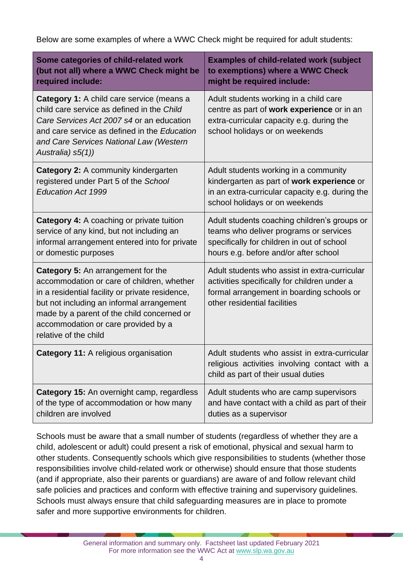Below are some examples of where a WWC Check might be required for adult students:

| Some categories of child-related work<br>(but not all) where a WWC Check might be<br>required include:                                                                                                                                                                                                | <b>Examples of child-related work (subject</b><br>to exemptions) where a WWC Check<br>might be required include:                                                              |
|-------------------------------------------------------------------------------------------------------------------------------------------------------------------------------------------------------------------------------------------------------------------------------------------------------|-------------------------------------------------------------------------------------------------------------------------------------------------------------------------------|
| <b>Category 1:</b> A child care service (means a<br>child care service as defined in the Child<br>Care Services Act 2007 s4 or an education<br>and care service as defined in the Education<br>and Care Services National Law (Western<br>Australia) s5(1))                                           | Adult students working in a child care<br>centre as part of work experience or in an<br>extra-curricular capacity e.g. during the<br>school holidays or on weekends           |
| <b>Category 2:</b> A community kindergarten<br>registered under Part 5 of the School<br><b>Education Act 1999</b>                                                                                                                                                                                     | Adult students working in a community<br>kindergarten as part of work experience or<br>in an extra-curricular capacity e.g. during the<br>school holidays or on weekends      |
| Category 4: A coaching or private tuition<br>service of any kind, but not including an<br>informal arrangement entered into for private<br>or domestic purposes                                                                                                                                       | Adult students coaching children's groups or<br>teams who deliver programs or services<br>specifically for children in out of school<br>hours e.g. before and/or after school |
| <b>Category 5:</b> An arrangement for the<br>accommodation or care of children, whether<br>in a residential facility or private residence,<br>but not including an informal arrangement<br>made by a parent of the child concerned or<br>accommodation or care provided by a<br>relative of the child | Adult students who assist in extra-curricular<br>activities specifically for children under a<br>formal arrangement in boarding schools or<br>other residential facilities    |
| <b>Category 11: A religious organisation</b>                                                                                                                                                                                                                                                          | Adult students who assist in extra-curricular<br>religious activities involving contact with a<br>child as part of their usual duties                                         |
| Category 15: An overnight camp, regardless<br>of the type of accommodation or how many<br>children are involved                                                                                                                                                                                       | Adult students who are camp supervisors<br>and have contact with a child as part of their<br>duties as a supervisor                                                           |

Schools must be aware that a small number of students (regardless of whether they are a child, adolescent or adult) could present a risk of emotional, physical and sexual harm to other students. Consequently schools which give responsibilities to students (whether those responsibilities involve child-related work or otherwise) should ensure that those students (and if appropriate, also their parents or guardians) are aware of and follow relevant child safe policies and practices and conform with effective training and supervisory guidelines. Schools must always ensure that child safeguarding measures are in place to promote safer and more supportive environments for children.